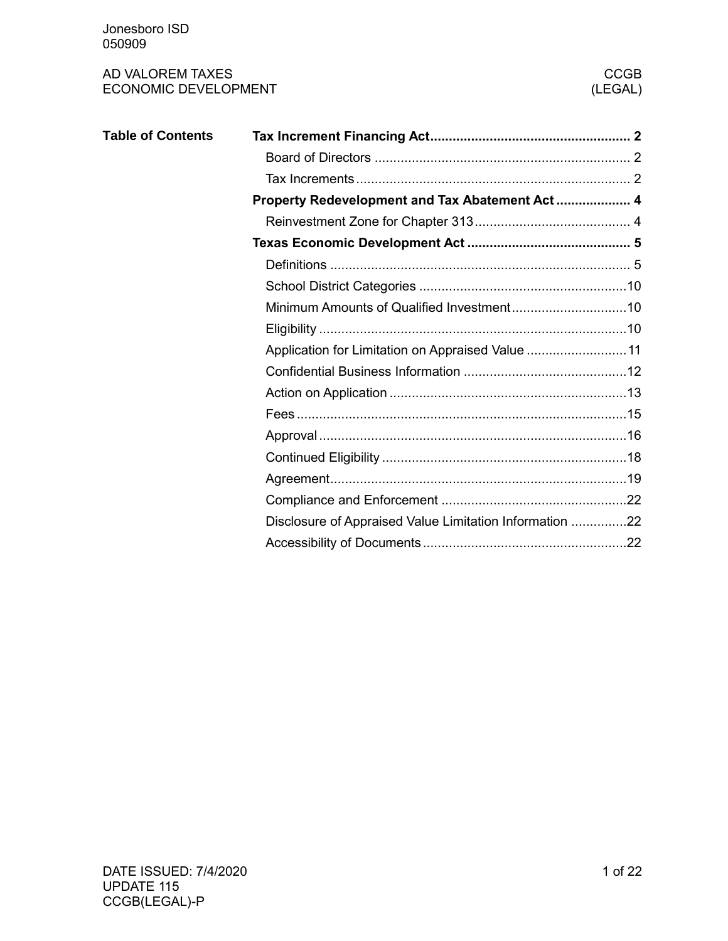| <b>Table of Contents</b> |                                                         |  |
|--------------------------|---------------------------------------------------------|--|
|                          |                                                         |  |
|                          |                                                         |  |
|                          |                                                         |  |
|                          |                                                         |  |
|                          |                                                         |  |
|                          |                                                         |  |
|                          |                                                         |  |
|                          |                                                         |  |
|                          |                                                         |  |
|                          | Application for Limitation on Appraised Value  11       |  |
|                          |                                                         |  |
|                          |                                                         |  |
|                          |                                                         |  |
|                          |                                                         |  |
|                          |                                                         |  |
|                          |                                                         |  |
|                          |                                                         |  |
|                          | Disclosure of Appraised Value Limitation Information 22 |  |
|                          |                                                         |  |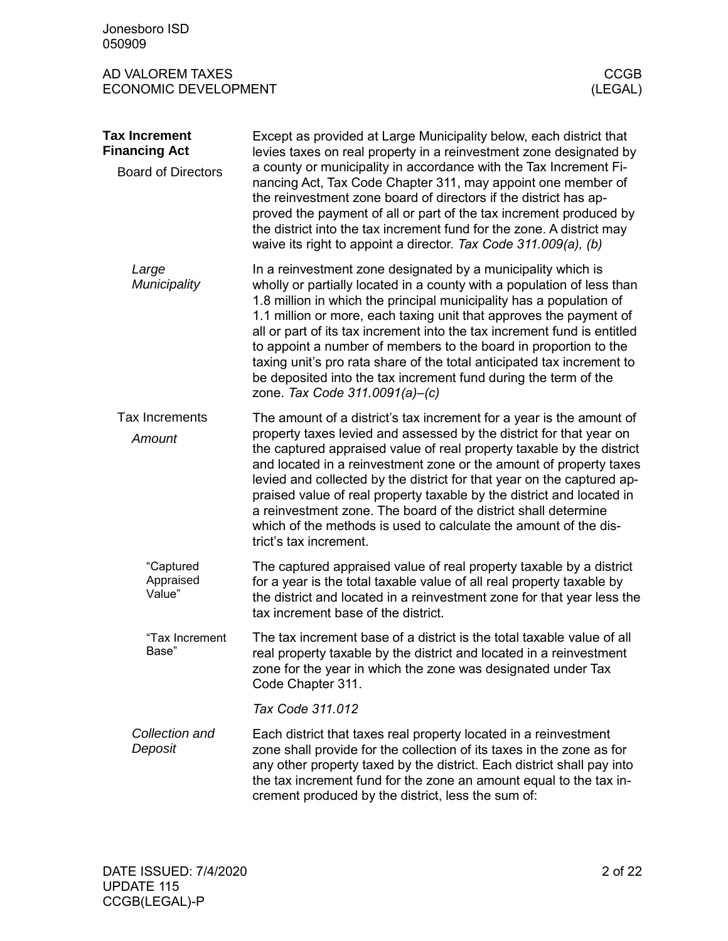<span id="page-1-2"></span><span id="page-1-1"></span><span id="page-1-0"></span>

| Jonesboro ISD<br>050909                                                   |                                                                                                                                                                                                                                                                                                                                                                                                                                                                                                                                                                                                                    |                        |
|---------------------------------------------------------------------------|--------------------------------------------------------------------------------------------------------------------------------------------------------------------------------------------------------------------------------------------------------------------------------------------------------------------------------------------------------------------------------------------------------------------------------------------------------------------------------------------------------------------------------------------------------------------------------------------------------------------|------------------------|
| AD VALOREM TAXES<br><b>ECONOMIC DEVELOPMENT</b>                           |                                                                                                                                                                                                                                                                                                                                                                                                                                                                                                                                                                                                                    | <b>CCGB</b><br>(LEGAL) |
| <b>Tax Increment</b><br><b>Financing Act</b><br><b>Board of Directors</b> | Except as provided at Large Municipality below, each district that<br>levies taxes on real property in a reinvestment zone designated by<br>a county or municipality in accordance with the Tax Increment Fi-<br>nancing Act, Tax Code Chapter 311, may appoint one member of<br>the reinvestment zone board of directors if the district has ap-<br>proved the payment of all or part of the tax increment produced by<br>the district into the tax increment fund for the zone. A district may<br>waive its right to appoint a director. Tax Code 311.009(a), (b)                                                |                        |
| Large<br>Municipality                                                     | In a reinvestment zone designated by a municipality which is<br>wholly or partially located in a county with a population of less than<br>1.8 million in which the principal municipality has a population of<br>1.1 million or more, each taxing unit that approves the payment of<br>all or part of its tax increment into the tax increment fund is entitled<br>to appoint a number of members to the board in proportion to the<br>taxing unit's pro rata share of the total anticipated tax increment to<br>be deposited into the tax increment fund during the term of the<br>zone. Tax Code 311.0091(a)-(c) |                        |
| <b>Tax Increments</b><br>Amount                                           | The amount of a district's tax increment for a year is the amount of<br>property taxes levied and assessed by the district for that year on<br>the captured appraised value of real property taxable by the district<br>and located in a reinvestment zone or the amount of property taxes<br>levied and collected by the district for that year on the captured ap-<br>praised value of real property taxable by the district and located in<br>a reinvestment zone. The board of the district shall determine<br>which of the methods is used to calculate the amount of the dis-<br>trict's tax increment.      |                        |
| "Captured<br>Appraised<br>Value"                                          | The captured appraised value of real property taxable by a district<br>for a year is the total taxable value of all real property taxable by<br>the district and located in a reinvestment zone for that year less the<br>tax increment base of the district.                                                                                                                                                                                                                                                                                                                                                      |                        |
| "Tax Increment<br>Base"                                                   | The tax increment base of a district is the total taxable value of all<br>real property taxable by the district and located in a reinvestment<br>zone for the year in which the zone was designated under Tax<br>Code Chapter 311.                                                                                                                                                                                                                                                                                                                                                                                 |                        |
|                                                                           | Tax Code 311.012                                                                                                                                                                                                                                                                                                                                                                                                                                                                                                                                                                                                   |                        |
| Collection and<br>Deposit                                                 | Each district that taxes real property located in a reinvestment<br>zone shall provide for the collection of its taxes in the zone as for<br>any other property taxed by the district. Each district shall pay into<br>the tax increment fund for the zone an amount equal to the tax in-<br>crement produced by the district, less the sum of:                                                                                                                                                                                                                                                                    |                        |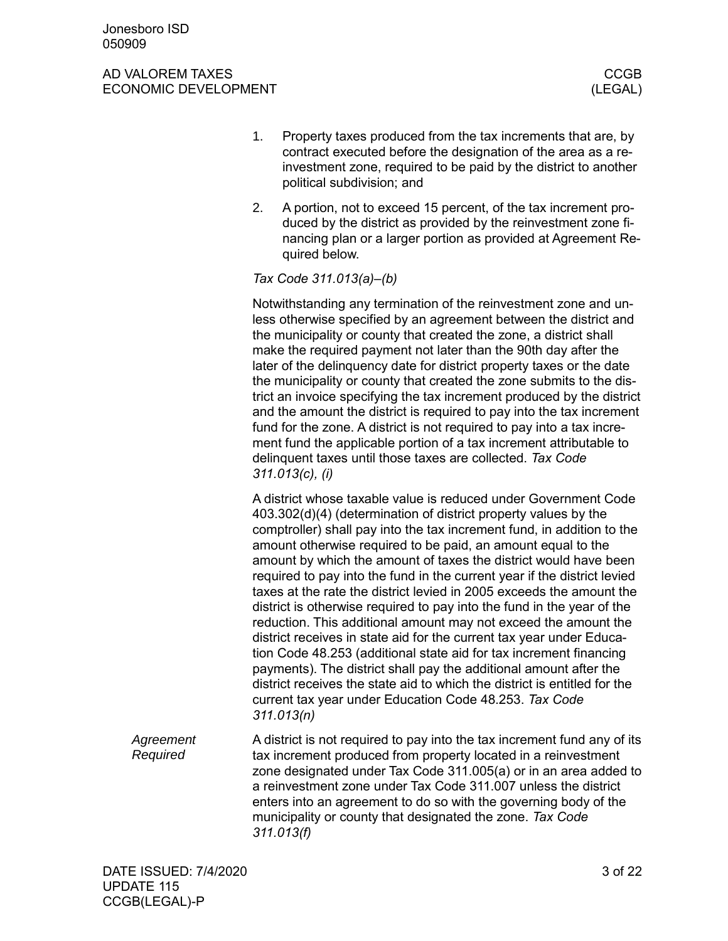- 1. Property taxes produced from the tax increments that are, by contract executed before the designation of the area as a reinvestment zone, required to be paid by the district to another political subdivision; and
- 2. A portion, not to exceed 15 percent, of the tax increment produced by the district as provided by the reinvestment zone financing plan or a larger portion as provided at Agreement Required below.

### *Tax Code 311.013(a)–(b)*

Notwithstanding any termination of the reinvestment zone and unless otherwise specified by an agreement between the district and the municipality or county that created the zone, a district shall make the required payment not later than the 90th day after the later of the delinquency date for district property taxes or the date the municipality or county that created the zone submits to the district an invoice specifying the tax increment produced by the district and the amount the district is required to pay into the tax increment fund for the zone. A district is not required to pay into a tax increment fund the applicable portion of a tax increment attributable to delinquent taxes until those taxes are collected. *Tax Code 311.013(c), (i)*

A district whose taxable value is reduced under Government Code 403.302(d)(4) (determination of district property values by the comptroller) shall pay into the tax increment fund, in addition to the amount otherwise required to be paid, an amount equal to the amount by which the amount of taxes the district would have been required to pay into the fund in the current year if the district levied taxes at the rate the district levied in 2005 exceeds the amount the district is otherwise required to pay into the fund in the year of the reduction. This additional amount may not exceed the amount the district receives in state aid for the current tax year under Education Code 48.253 (additional state aid for tax increment financing payments). The district shall pay the additional amount after the district receives the state aid to which the district is entitled for the current tax year under Education Code 48.253. *Tax Code 311.013(n)*

A district is not required to pay into the tax increment fund any of its tax increment produced from property located in a reinvestment zone designated under Tax Code 311.005(a) or in an area added to a reinvestment zone under Tax Code 311.007 unless the district enters into an agreement to do so with the governing body of the municipality or county that designated the zone. *Tax Code 311.013(f) Agreement Required*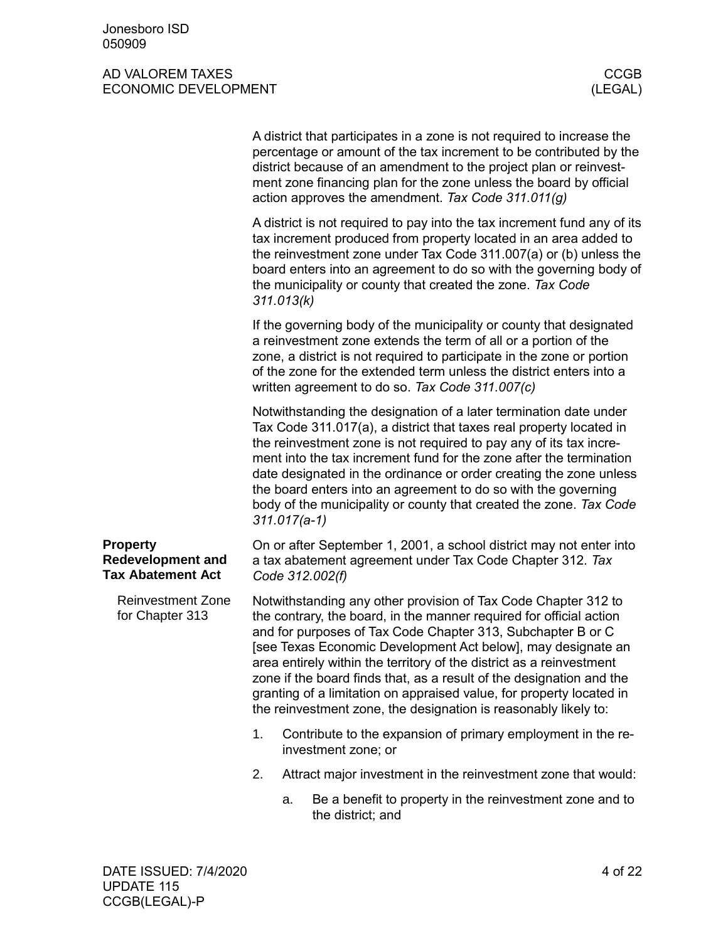<span id="page-3-1"></span><span id="page-3-0"></span>

|                                                                         |    |                                                                                                                                                                                                                                                                                                                                                                                                                                                                                                                                                                 | A district that participates in a zone is not required to increase the<br>percentage or amount of the tax increment to be contributed by the<br>district because of an amendment to the project plan or reinvest-<br>ment zone financing plan for the zone unless the board by official<br>action approves the amendment. Tax Code 311.011(g)                                                                                                                                                       |  |  |
|-------------------------------------------------------------------------|----|-----------------------------------------------------------------------------------------------------------------------------------------------------------------------------------------------------------------------------------------------------------------------------------------------------------------------------------------------------------------------------------------------------------------------------------------------------------------------------------------------------------------------------------------------------------------|-----------------------------------------------------------------------------------------------------------------------------------------------------------------------------------------------------------------------------------------------------------------------------------------------------------------------------------------------------------------------------------------------------------------------------------------------------------------------------------------------------|--|--|
|                                                                         |    | 311.013(k)                                                                                                                                                                                                                                                                                                                                                                                                                                                                                                                                                      | A district is not required to pay into the tax increment fund any of its<br>tax increment produced from property located in an area added to<br>the reinvestment zone under Tax Code 311.007(a) or (b) unless the<br>board enters into an agreement to do so with the governing body of<br>the municipality or county that created the zone. Tax Code                                                                                                                                               |  |  |
|                                                                         |    |                                                                                                                                                                                                                                                                                                                                                                                                                                                                                                                                                                 | If the governing body of the municipality or county that designated<br>a reinvestment zone extends the term of all or a portion of the<br>zone, a district is not required to participate in the zone or portion<br>of the zone for the extended term unless the district enters into a<br>written agreement to do so. Tax Code 311.007(c)                                                                                                                                                          |  |  |
|                                                                         |    | $311.017(a-1)$                                                                                                                                                                                                                                                                                                                                                                                                                                                                                                                                                  | Notwithstanding the designation of a later termination date under<br>Tax Code 311.017(a), a district that taxes real property located in<br>the reinvestment zone is not required to pay any of its tax incre-<br>ment into the tax increment fund for the zone after the termination<br>date designated in the ordinance or order creating the zone unless<br>the board enters into an agreement to do so with the governing<br>body of the municipality or county that created the zone. Tax Code |  |  |
| <b>Property</b><br><b>Redevelopment and</b><br><b>Tax Abatement Act</b> |    |                                                                                                                                                                                                                                                                                                                                                                                                                                                                                                                                                                 | On or after September 1, 2001, a school district may not enter into<br>a tax abatement agreement under Tax Code Chapter 312. Tax<br>Code 312.002(f)                                                                                                                                                                                                                                                                                                                                                 |  |  |
| <b>Reinvestment Zone</b><br>for Chapter 313                             |    | Notwithstanding any other provision of Tax Code Chapter 312 to<br>the contrary, the board, in the manner required for official action<br>and for purposes of Tax Code Chapter 313, Subchapter B or C<br>[see Texas Economic Development Act below], may designate an<br>area entirely within the territory of the district as a reinvestment<br>zone if the board finds that, as a result of the designation and the<br>granting of a limitation on appraised value, for property located in<br>the reinvestment zone, the designation is reasonably likely to: |                                                                                                                                                                                                                                                                                                                                                                                                                                                                                                     |  |  |
|                                                                         | 1. |                                                                                                                                                                                                                                                                                                                                                                                                                                                                                                                                                                 | Contribute to the expansion of primary employment in the re-<br>investment zone; or                                                                                                                                                                                                                                                                                                                                                                                                                 |  |  |
|                                                                         | 2. |                                                                                                                                                                                                                                                                                                                                                                                                                                                                                                                                                                 | Attract major investment in the reinvestment zone that would:                                                                                                                                                                                                                                                                                                                                                                                                                                       |  |  |
|                                                                         |    | a.                                                                                                                                                                                                                                                                                                                                                                                                                                                                                                                                                              | Be a benefit to property in the reinvestment zone and to<br>the district; and                                                                                                                                                                                                                                                                                                                                                                                                                       |  |  |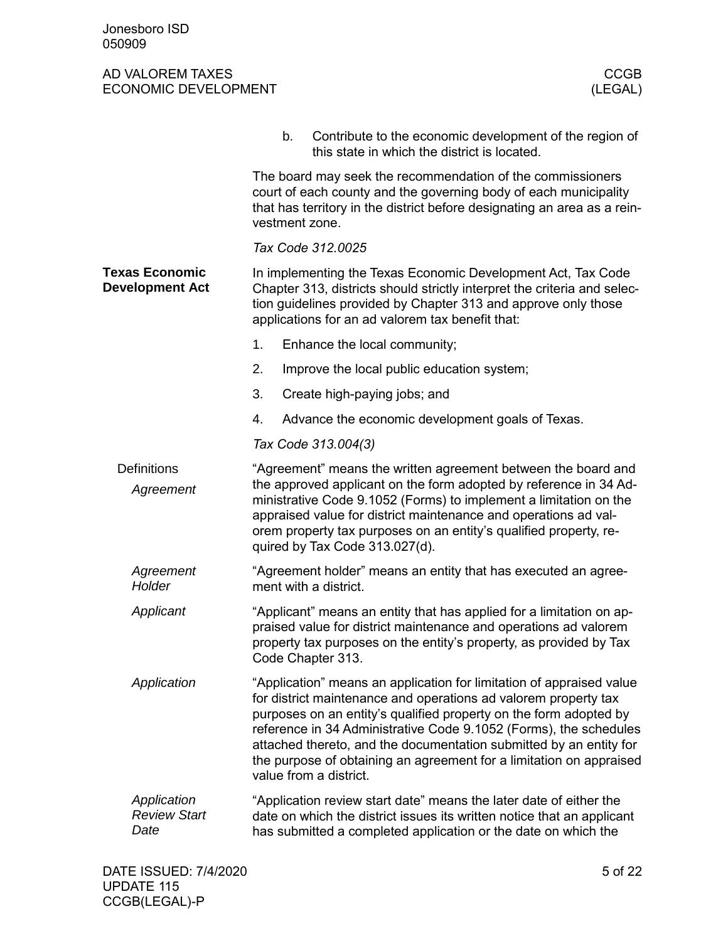<span id="page-4-1"></span><span id="page-4-0"></span>

|                                                 |    | b.                                                                                                                                                                                                                                                                                                                                                                                                                                                       | Contribute to the economic development of the region of<br>this state in which the district is located.                                                                                                                                                        |  |  |
|-------------------------------------------------|----|----------------------------------------------------------------------------------------------------------------------------------------------------------------------------------------------------------------------------------------------------------------------------------------------------------------------------------------------------------------------------------------------------------------------------------------------------------|----------------------------------------------------------------------------------------------------------------------------------------------------------------------------------------------------------------------------------------------------------------|--|--|
|                                                 |    |                                                                                                                                                                                                                                                                                                                                                                                                                                                          | The board may seek the recommendation of the commissioners<br>court of each county and the governing body of each municipality<br>that has territory in the district before designating an area as a rein-<br>vestment zone.                                   |  |  |
|                                                 |    |                                                                                                                                                                                                                                                                                                                                                                                                                                                          | Tax Code 312.0025                                                                                                                                                                                                                                              |  |  |
| <b>Texas Economic</b><br><b>Development Act</b> |    |                                                                                                                                                                                                                                                                                                                                                                                                                                                          | In implementing the Texas Economic Development Act, Tax Code<br>Chapter 313, districts should strictly interpret the criteria and selec-<br>tion guidelines provided by Chapter 313 and approve only those<br>applications for an ad valorem tax benefit that: |  |  |
|                                                 | 1. |                                                                                                                                                                                                                                                                                                                                                                                                                                                          | Enhance the local community;                                                                                                                                                                                                                                   |  |  |
|                                                 | 2. |                                                                                                                                                                                                                                                                                                                                                                                                                                                          | Improve the local public education system;                                                                                                                                                                                                                     |  |  |
|                                                 | 3. |                                                                                                                                                                                                                                                                                                                                                                                                                                                          | Create high-paying jobs; and                                                                                                                                                                                                                                   |  |  |
|                                                 | 4. |                                                                                                                                                                                                                                                                                                                                                                                                                                                          | Advance the economic development goals of Texas.                                                                                                                                                                                                               |  |  |
|                                                 |    |                                                                                                                                                                                                                                                                                                                                                                                                                                                          | Tax Code 313.004(3)                                                                                                                                                                                                                                            |  |  |
| <b>Definitions</b><br>Agreement                 |    | "Agreement" means the written agreement between the board and<br>the approved applicant on the form adopted by reference in 34 Ad-<br>ministrative Code 9.1052 (Forms) to implement a limitation on the<br>appraised value for district maintenance and operations ad val-<br>orem property tax purposes on an entity's qualified property, re-<br>quired by Tax Code 313.027(d).                                                                        |                                                                                                                                                                                                                                                                |  |  |
| Agreement<br>Holder                             |    | "Agreement holder" means an entity that has executed an agree-<br>ment with a district.                                                                                                                                                                                                                                                                                                                                                                  |                                                                                                                                                                                                                                                                |  |  |
| Applicant                                       |    | "Applicant" means an entity that has applied for a limitation on ap-<br>praised value for district maintenance and operations ad valorem<br>property tax purposes on the entity's property, as provided by Tax<br>Code Chapter 313.                                                                                                                                                                                                                      |                                                                                                                                                                                                                                                                |  |  |
| Application                                     |    | "Application" means an application for limitation of appraised value<br>for district maintenance and operations ad valorem property tax<br>purposes on an entity's qualified property on the form adopted by<br>reference in 34 Administrative Code 9.1052 (Forms), the schedules<br>attached thereto, and the documentation submitted by an entity for<br>the purpose of obtaining an agreement for a limitation on appraised<br>value from a district. |                                                                                                                                                                                                                                                                |  |  |
| Application<br><b>Review Start</b><br>Date      |    |                                                                                                                                                                                                                                                                                                                                                                                                                                                          | "Application review start date" means the later date of either the<br>date on which the district issues its written notice that an applicant<br>has submitted a completed application or the date on which the                                                 |  |  |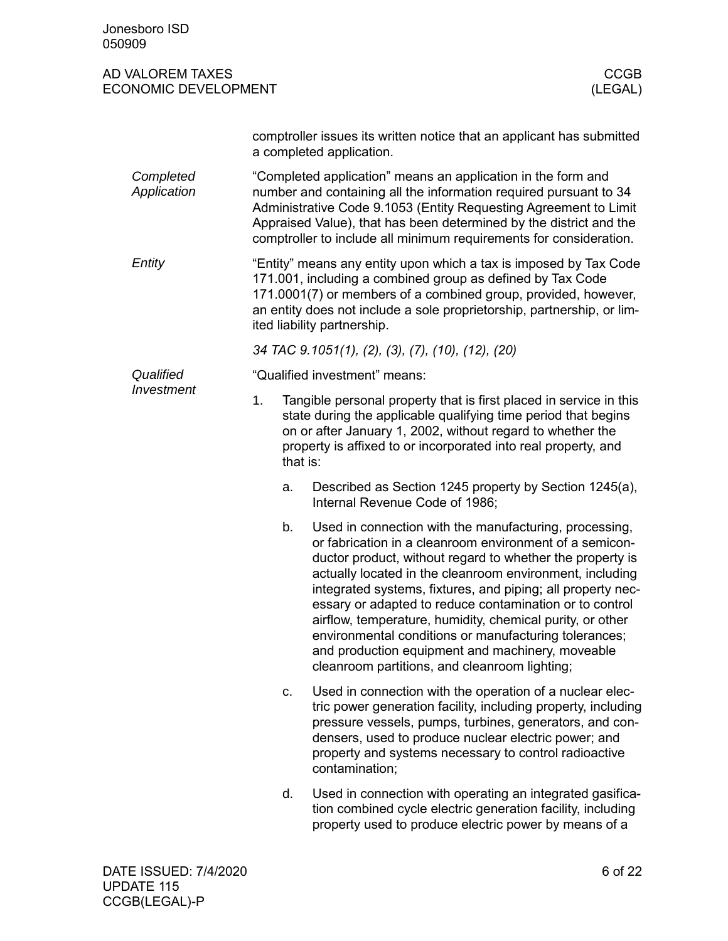| Jonesboro ISD<br>050909                         |                |                                                                                                                                                                                                                                                                                                                                                                                                                                                                                                                                                                                                 |
|-------------------------------------------------|----------------|-------------------------------------------------------------------------------------------------------------------------------------------------------------------------------------------------------------------------------------------------------------------------------------------------------------------------------------------------------------------------------------------------------------------------------------------------------------------------------------------------------------------------------------------------------------------------------------------------|
| AD VALOREM TAXES<br><b>ECONOMIC DEVELOPMENT</b> |                | <b>CCGB</b><br>(LEGAL)                                                                                                                                                                                                                                                                                                                                                                                                                                                                                                                                                                          |
|                                                 |                | comptroller issues its written notice that an applicant has submitted<br>a completed application.                                                                                                                                                                                                                                                                                                                                                                                                                                                                                               |
| Completed<br>Application                        |                | "Completed application" means an application in the form and<br>number and containing all the information required pursuant to 34<br>Administrative Code 9.1053 (Entity Requesting Agreement to Limit<br>Appraised Value), that has been determined by the district and the<br>comptroller to include all minimum requirements for consideration.                                                                                                                                                                                                                                               |
| Entity                                          |                | "Entity" means any entity upon which a tax is imposed by Tax Code<br>171.001, including a combined group as defined by Tax Code<br>171.0001(7) or members of a combined group, provided, however,<br>an entity does not include a sole proprietorship, partnership, or lim-<br>ited liability partnership.                                                                                                                                                                                                                                                                                      |
|                                                 |                | 34 TAC 9.1051(1), (2), (3), (7), (10), (12), (20)                                                                                                                                                                                                                                                                                                                                                                                                                                                                                                                                               |
| Qualified                                       |                | "Qualified investment" means:                                                                                                                                                                                                                                                                                                                                                                                                                                                                                                                                                                   |
| Investment                                      | 1.<br>that is: | Tangible personal property that is first placed in service in this<br>state during the applicable qualifying time period that begins<br>on or after January 1, 2002, without regard to whether the<br>property is affixed to or incorporated into real property, and                                                                                                                                                                                                                                                                                                                            |
|                                                 | a.             | Described as Section 1245 property by Section 1245(a),<br>Internal Revenue Code of 1986;                                                                                                                                                                                                                                                                                                                                                                                                                                                                                                        |
|                                                 | b.             | Used in connection with the manufacturing, processing,<br>or fabrication in a cleanroom environment of a semicon-<br>ductor product, without regard to whether the property is<br>actually located in the cleanroom environment, including<br>integrated systems, fixtures, and piping; all property nec-<br>essary or adapted to reduce contamination or to control<br>airflow, temperature, humidity, chemical purity, or other<br>environmental conditions or manufacturing tolerances;<br>and production equipment and machinery, moveable<br>cleanroom partitions, and cleanroom lighting; |
|                                                 | c.             | Used in connection with the operation of a nuclear elec-<br>tric power generation facility, including property, including<br>pressure vessels, pumps, turbines, generators, and con-<br>densers, used to produce nuclear electric power; and<br>property and systems necessary to control radioactive<br>contamination;                                                                                                                                                                                                                                                                         |
|                                                 | d.             | Used in connection with operating an integrated gasifica-<br>tion combined cycle electric generation facility, including<br>property used to produce electric power by means of a                                                                                                                                                                                                                                                                                                                                                                                                               |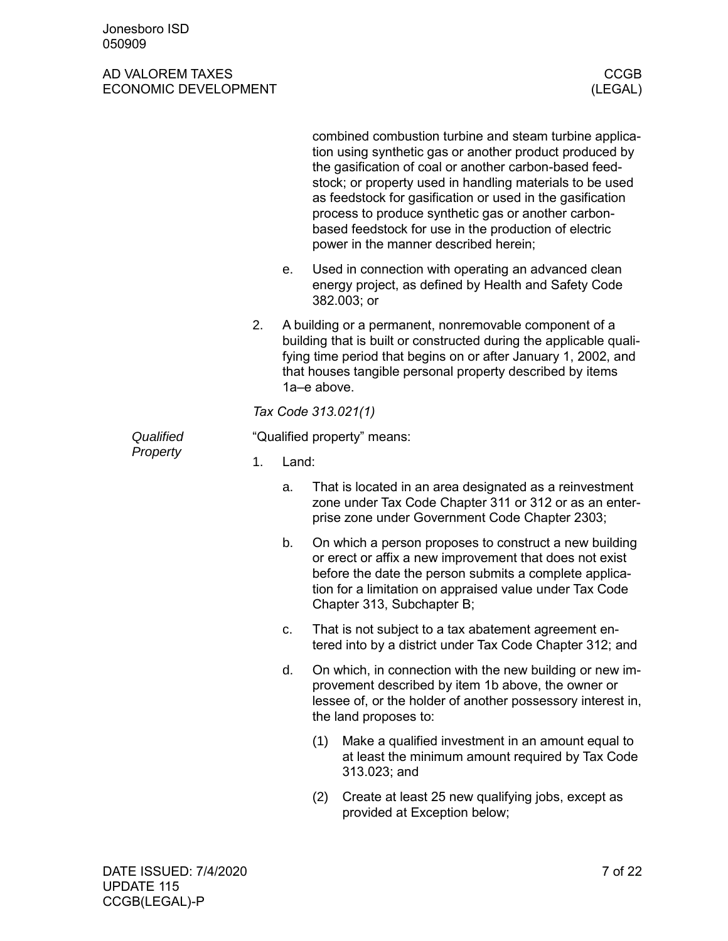|           |    |                             | combined combustion turbine and steam turbine applica-<br>tion using synthetic gas or another product produced by<br>the gasification of coal or another carbon-based feed-<br>stock; or property used in handling materials to be used<br>as feedstock for gasification or used in the gasification<br>process to produce synthetic gas or another carbon-<br>based feedstock for use in the production of electric<br>power in the manner described herein; |  |  |  |
|-----------|----|-----------------------------|---------------------------------------------------------------------------------------------------------------------------------------------------------------------------------------------------------------------------------------------------------------------------------------------------------------------------------------------------------------------------------------------------------------------------------------------------------------|--|--|--|
|           |    | е.                          | Used in connection with operating an advanced clean<br>energy project, as defined by Health and Safety Code<br>382.003; or                                                                                                                                                                                                                                                                                                                                    |  |  |  |
|           | 2. |                             | A building or a permanent, nonremovable component of a<br>building that is built or constructed during the applicable quali-<br>fying time period that begins on or after January 1, 2002, and<br>that houses tangible personal property described by items<br>1a-e above.                                                                                                                                                                                    |  |  |  |
|           |    |                             | Tax Code 313.021(1)                                                                                                                                                                                                                                                                                                                                                                                                                                           |  |  |  |
| Qualified |    | "Qualified property" means: |                                                                                                                                                                                                                                                                                                                                                                                                                                                               |  |  |  |
| Property  | 1. | Land:                       |                                                                                                                                                                                                                                                                                                                                                                                                                                                               |  |  |  |
|           |    | a.                          | That is located in an area designated as a reinvestment<br>zone under Tax Code Chapter 311 or 312 or as an enter-<br>prise zone under Government Code Chapter 2303;                                                                                                                                                                                                                                                                                           |  |  |  |
|           |    | b.                          | On which a person proposes to construct a new building<br>or erect or affix a new improvement that does not exist<br>before the date the person submits a complete applica-<br>tion for a limitation on appraised value under Tax Code<br>Chapter 313, Subchapter B;                                                                                                                                                                                          |  |  |  |
|           |    | c.                          | That is not subject to a tax abatement agreement en-<br>tered into by a district under Tax Code Chapter 312; and                                                                                                                                                                                                                                                                                                                                              |  |  |  |
|           |    | d.                          | On which, in connection with the new building or new im-<br>provement described by item 1b above, the owner or<br>lessee of, or the holder of another possessory interest in,<br>the land proposes to:                                                                                                                                                                                                                                                        |  |  |  |
|           |    |                             | (1)<br>Make a qualified investment in an amount equal to<br>at least the minimum amount required by Tax Code<br>313.023; and                                                                                                                                                                                                                                                                                                                                  |  |  |  |
|           |    |                             | Create at least 25 new qualifying jobs, except as<br>(2)<br>provided at Exception below;                                                                                                                                                                                                                                                                                                                                                                      |  |  |  |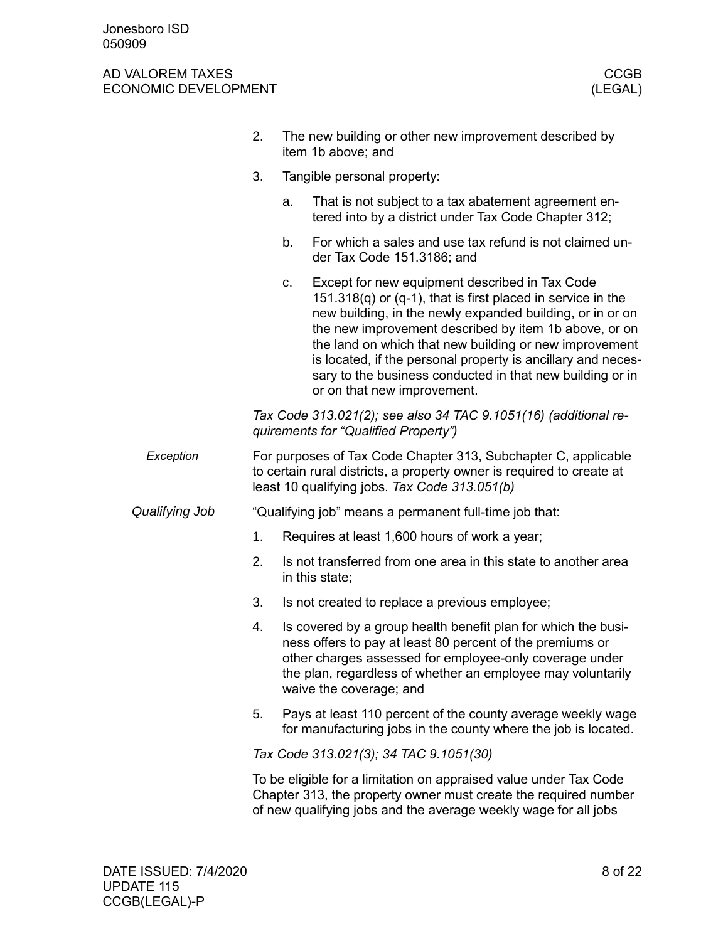|                | 2. | The new building or other new improvement described by<br>item 1b above; and                                                                                                                                                                                                                                                                                                                                                                                          |  |  |
|----------------|----|-----------------------------------------------------------------------------------------------------------------------------------------------------------------------------------------------------------------------------------------------------------------------------------------------------------------------------------------------------------------------------------------------------------------------------------------------------------------------|--|--|
| 3.             |    | Tangible personal property:                                                                                                                                                                                                                                                                                                                                                                                                                                           |  |  |
|                |    | That is not subject to a tax abatement agreement en-<br>a.<br>tered into by a district under Tax Code Chapter 312;                                                                                                                                                                                                                                                                                                                                                    |  |  |
|                |    | For which a sales and use tax refund is not claimed un-<br>b.<br>der Tax Code 151.3186; and                                                                                                                                                                                                                                                                                                                                                                           |  |  |
|                |    | Except for new equipment described in Tax Code<br>c.<br>151.318 $(q)$ or $(q-1)$ , that is first placed in service in the<br>new building, in the newly expanded building, or in or on<br>the new improvement described by item 1b above, or on<br>the land on which that new building or new improvement<br>is located, if the personal property is ancillary and neces-<br>sary to the business conducted in that new building or in<br>or on that new improvement. |  |  |
|                |    | Tax Code 313.021(2); see also 34 TAC 9.1051(16) (additional re-<br>quirements for "Qualified Property")                                                                                                                                                                                                                                                                                                                                                               |  |  |
| Exception      |    | For purposes of Tax Code Chapter 313, Subchapter C, applicable<br>to certain rural districts, a property owner is required to create at<br>least 10 qualifying jobs. Tax Code 313.051(b)                                                                                                                                                                                                                                                                              |  |  |
| Qualifying Job |    | "Qualifying job" means a permanent full-time job that:                                                                                                                                                                                                                                                                                                                                                                                                                |  |  |
|                | 1. | Requires at least 1,600 hours of work a year;                                                                                                                                                                                                                                                                                                                                                                                                                         |  |  |
|                | 2. | Is not transferred from one area in this state to another area<br>in this state;                                                                                                                                                                                                                                                                                                                                                                                      |  |  |
|                | 3. | Is not created to replace a previous employee;                                                                                                                                                                                                                                                                                                                                                                                                                        |  |  |
|                | 4. | Is covered by a group health benefit plan for which the busi-<br>ness offers to pay at least 80 percent of the premiums or<br>other charges assessed for employee-only coverage under<br>the plan, regardless of whether an employee may voluntarily<br>waive the coverage; and                                                                                                                                                                                       |  |  |
|                | 5. | Pays at least 110 percent of the county average weekly wage<br>for manufacturing jobs in the county where the job is located.                                                                                                                                                                                                                                                                                                                                         |  |  |
|                |    | Tax Code 313.021(3); 34 TAC 9.1051(30)                                                                                                                                                                                                                                                                                                                                                                                                                                |  |  |
|                |    | To be eligible for a limitation on appraised value under Tax Code<br>Chapter 313, the property owner must create the required number<br>of new qualifying jobs and the average weekly wage for all jobs                                                                                                                                                                                                                                                               |  |  |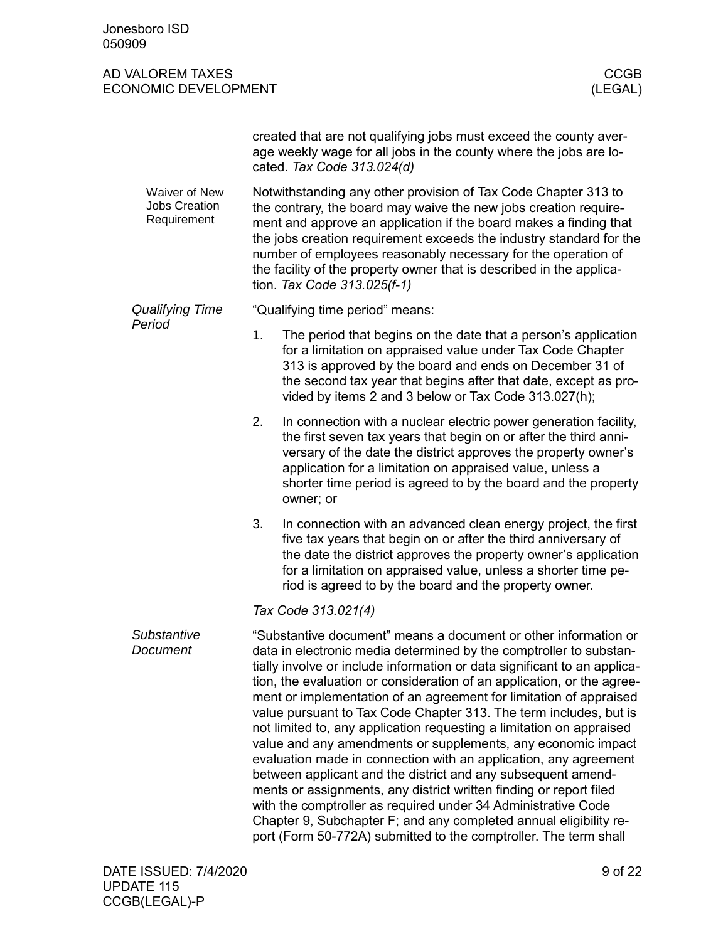created that are not qualifying jobs must exceed the county average weekly wage for all jobs in the county where the jobs are located. *Tax Code 313.024(d)* Notwithstanding any other provision of Tax Code Chapter 313 to the contrary, the board may waive the new jobs creation requirement and approve an application if the board makes a finding that the jobs creation requirement exceeds the industry standard for the number of employees reasonably necessary for the operation of the facility of the property owner that is described in the application. *Tax Code 313.025(f-1)* "Qualifying time period" means: 1. The period that begins on the date that a person's application for a limitation on appraised value under Tax Code Chapter 313 is approved by the board and ends on December 31 of the second tax year that begins after that date, except as provided by items 2 and 3 below or Tax Code 313.027(h); 2. In connection with a nuclear electric power generation facility, the first seven tax years that begin on or after the third anniversary of the date the district approves the property owner's application for a limitation on appraised value, unless a shorter time period is agreed to by the board and the property owner; or 3. In connection with an advanced clean energy project, the first five tax years that begin on or after the third anniversary of the date the district approves the property owner's application for a limitation on appraised value, unless a shorter time period is agreed to by the board and the property owner. *Tax Code 313.021(4)* "Substantive document" means a document or other information or data in electronic media determined by the comptroller to substantially involve or include information or data significant to an application, the evaluation or consideration of an application, or the agreement or implementation of an agreement for limitation of appraised value pursuant to Tax Code Chapter 313. The term includes, but is not limited to, any application requesting a limitation on appraised value and any amendments or supplements, any economic impact evaluation made in connection with an application, any agreement between applicant and the district and any subsequent amendments or assignments, any district written finding or report filed with the comptroller as required under 34 Administrative Code Chapter 9, Subchapter F; and any completed annual eligibility report (Form 50-772A) submitted to the comptroller. The term shall Waiver of New Jobs Creation Requirement *Qualifying Time Period Substantive Document*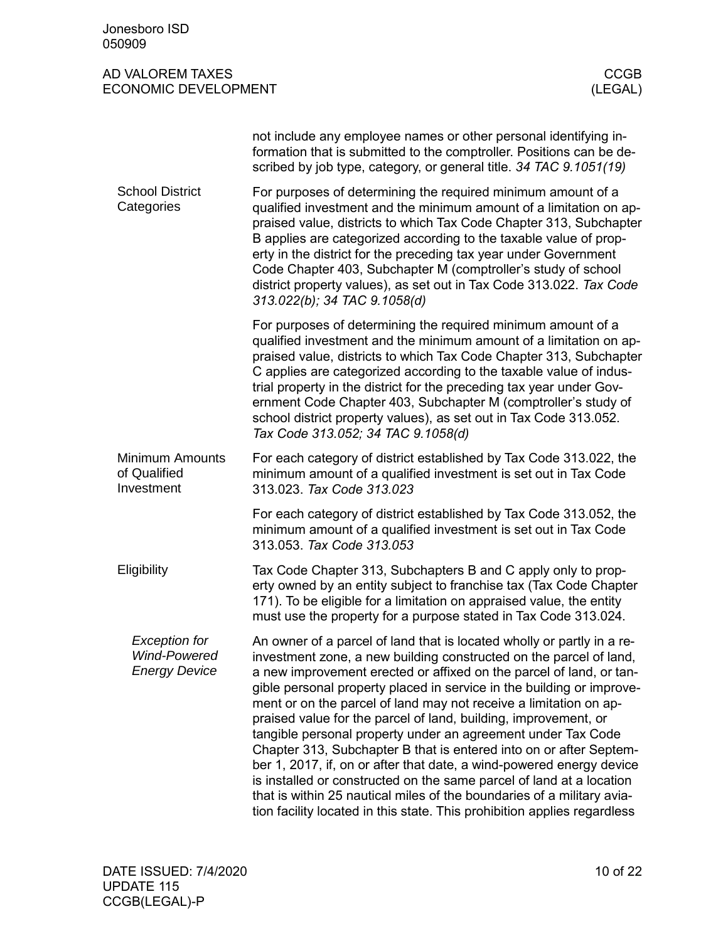<span id="page-9-2"></span><span id="page-9-1"></span><span id="page-9-0"></span>

| Jonesboro ISD<br>050909                                             |                                                                                                                                                                                                                                                                                                                                                                                                                                                                                                                                                                                                                                                                                                                                                                                                                                                                                  |
|---------------------------------------------------------------------|----------------------------------------------------------------------------------------------------------------------------------------------------------------------------------------------------------------------------------------------------------------------------------------------------------------------------------------------------------------------------------------------------------------------------------------------------------------------------------------------------------------------------------------------------------------------------------------------------------------------------------------------------------------------------------------------------------------------------------------------------------------------------------------------------------------------------------------------------------------------------------|
| AD VALOREM TAXES<br><b>ECONOMIC DEVELOPMENT</b>                     | <b>CCGB</b><br>(LEGAL)                                                                                                                                                                                                                                                                                                                                                                                                                                                                                                                                                                                                                                                                                                                                                                                                                                                           |
|                                                                     | not include any employee names or other personal identifying in-<br>formation that is submitted to the comptroller. Positions can be de-<br>scribed by job type, category, or general title. 34 TAC 9.1051(19)                                                                                                                                                                                                                                                                                                                                                                                                                                                                                                                                                                                                                                                                   |
| <b>School District</b><br>Categories                                | For purposes of determining the required minimum amount of a<br>qualified investment and the minimum amount of a limitation on ap-<br>praised value, districts to which Tax Code Chapter 313, Subchapter<br>B applies are categorized according to the taxable value of prop-<br>erty in the district for the preceding tax year under Government<br>Code Chapter 403, Subchapter M (comptroller's study of school<br>district property values), as set out in Tax Code 313.022. Tax Code<br>313.022(b); 34 TAC 9.1058(d)                                                                                                                                                                                                                                                                                                                                                        |
|                                                                     | For purposes of determining the required minimum amount of a<br>qualified investment and the minimum amount of a limitation on ap-<br>praised value, districts to which Tax Code Chapter 313, Subchapter<br>C applies are categorized according to the taxable value of indus-<br>trial property in the district for the preceding tax year under Gov-<br>ernment Code Chapter 403, Subchapter M (comptroller's study of<br>school district property values), as set out in Tax Code 313.052.<br>Tax Code 313.052; 34 TAC 9.1058(d)                                                                                                                                                                                                                                                                                                                                              |
| <b>Minimum Amounts</b><br>of Qualified<br>Investment                | For each category of district established by Tax Code 313.022, the<br>minimum amount of a qualified investment is set out in Tax Code<br>313.023. Tax Code 313.023                                                                                                                                                                                                                                                                                                                                                                                                                                                                                                                                                                                                                                                                                                               |
|                                                                     | For each category of district established by Tax Code 313.052, the<br>minimum amount of a qualified investment is set out in Tax Code<br>313.053. Tax Code 313.053                                                                                                                                                                                                                                                                                                                                                                                                                                                                                                                                                                                                                                                                                                               |
| Eligibility                                                         | Tax Code Chapter 313, Subchapters B and C apply only to prop-<br>erty owned by an entity subject to franchise tax (Tax Code Chapter<br>171). To be eligible for a limitation on appraised value, the entity<br>must use the property for a purpose stated in Tax Code 313.024.                                                                                                                                                                                                                                                                                                                                                                                                                                                                                                                                                                                                   |
| <b>Exception for</b><br><b>Wind-Powered</b><br><b>Energy Device</b> | An owner of a parcel of land that is located wholly or partly in a re-<br>investment zone, a new building constructed on the parcel of land,<br>a new improvement erected or affixed on the parcel of land, or tan-<br>gible personal property placed in service in the building or improve-<br>ment or on the parcel of land may not receive a limitation on ap-<br>praised value for the parcel of land, building, improvement, or<br>tangible personal property under an agreement under Tax Code<br>Chapter 313, Subchapter B that is entered into on or after Septem-<br>ber 1, 2017, if, on or after that date, a wind-powered energy device<br>is installed or constructed on the same parcel of land at a location<br>that is within 25 nautical miles of the boundaries of a military avia-<br>tion facility located in this state. This prohibition applies regardless |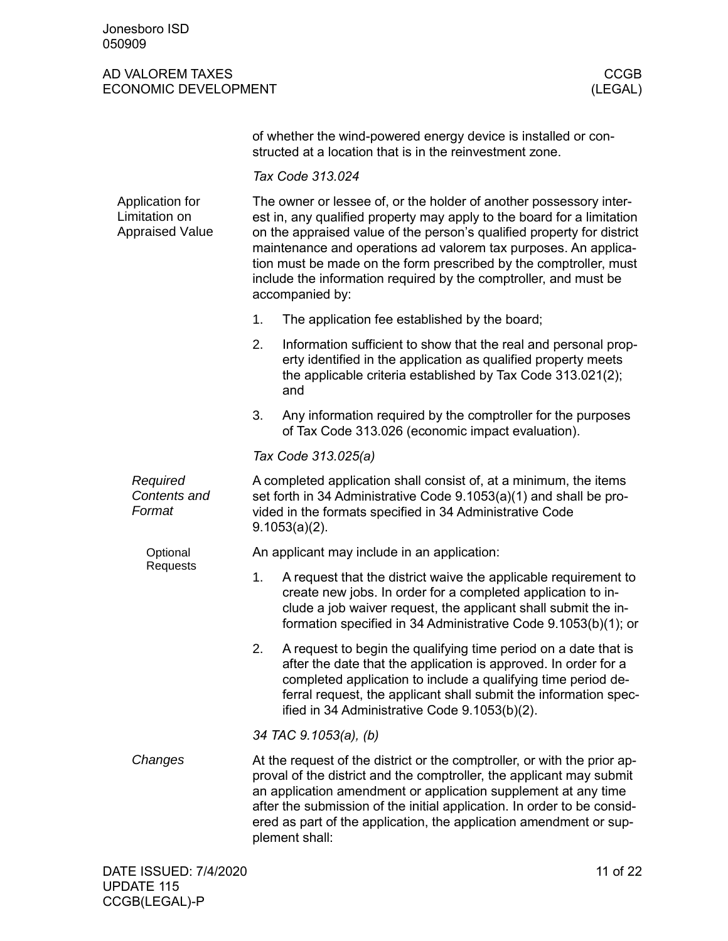| of whether the wind-powered energy device is installed or con- |  |
|----------------------------------------------------------------|--|
| structed at a location that is in the reinvestment zone.       |  |

*Tax Code 313.024*

<span id="page-10-0"></span>

| Application for<br>Limitation on<br><b>Appraised Value</b> | The owner or lessee of, or the holder of another possessory inter-<br>est in, any qualified property may apply to the board for a limitation<br>on the appraised value of the person's qualified property for district<br>maintenance and operations ad valorem tax purposes. An applica-<br>tion must be made on the form prescribed by the comptroller, must<br>include the information required by the comptroller, and must be<br>accompanied by: |  |  |  |  |
|------------------------------------------------------------|-------------------------------------------------------------------------------------------------------------------------------------------------------------------------------------------------------------------------------------------------------------------------------------------------------------------------------------------------------------------------------------------------------------------------------------------------------|--|--|--|--|
|                                                            | 1.<br>The application fee established by the board;                                                                                                                                                                                                                                                                                                                                                                                                   |  |  |  |  |
|                                                            | 2.<br>Information sufficient to show that the real and personal prop-<br>erty identified in the application as qualified property meets<br>the applicable criteria established by Tax Code 313.021(2);<br>and                                                                                                                                                                                                                                         |  |  |  |  |
|                                                            | 3.<br>Any information required by the comptroller for the purposes<br>of Tax Code 313.026 (economic impact evaluation).                                                                                                                                                                                                                                                                                                                               |  |  |  |  |
|                                                            | Tax Code 313.025(a)                                                                                                                                                                                                                                                                                                                                                                                                                                   |  |  |  |  |
| Required<br>Contents and<br>Format                         | A completed application shall consist of, at a minimum, the items<br>set forth in 34 Administrative Code 9.1053(a)(1) and shall be pro-<br>vided in the formats specified in 34 Administrative Code<br>$9.1053(a)(2)$ .                                                                                                                                                                                                                               |  |  |  |  |
| Optional                                                   | An applicant may include in an application:                                                                                                                                                                                                                                                                                                                                                                                                           |  |  |  |  |
| Requests                                                   | 1.<br>A request that the district waive the applicable requirement to<br>create new jobs. In order for a completed application to in-<br>clude a job waiver request, the applicant shall submit the in-<br>formation specified in 34 Administrative Code 9.1053(b)(1); or                                                                                                                                                                             |  |  |  |  |
|                                                            | 2.<br>A request to begin the qualifying time period on a date that is<br>after the date that the application is approved. In order for a<br>completed application to include a qualifying time period de-<br>ferral request, the applicant shall submit the information spec-<br>ified in 34 Administrative Code 9.1053(b)(2).                                                                                                                        |  |  |  |  |
|                                                            | 34 TAC 9.1053(a), (b)                                                                                                                                                                                                                                                                                                                                                                                                                                 |  |  |  |  |
| Changes                                                    | At the request of the district or the comptroller, or with the prior ap-<br>proval of the district and the comptroller, the applicant may submit<br>an application amendment or application supplement at any time<br>after the submission of the initial application. In order to be consid-<br>ered as part of the application, the application amendment or sup-<br>plement shall:                                                                 |  |  |  |  |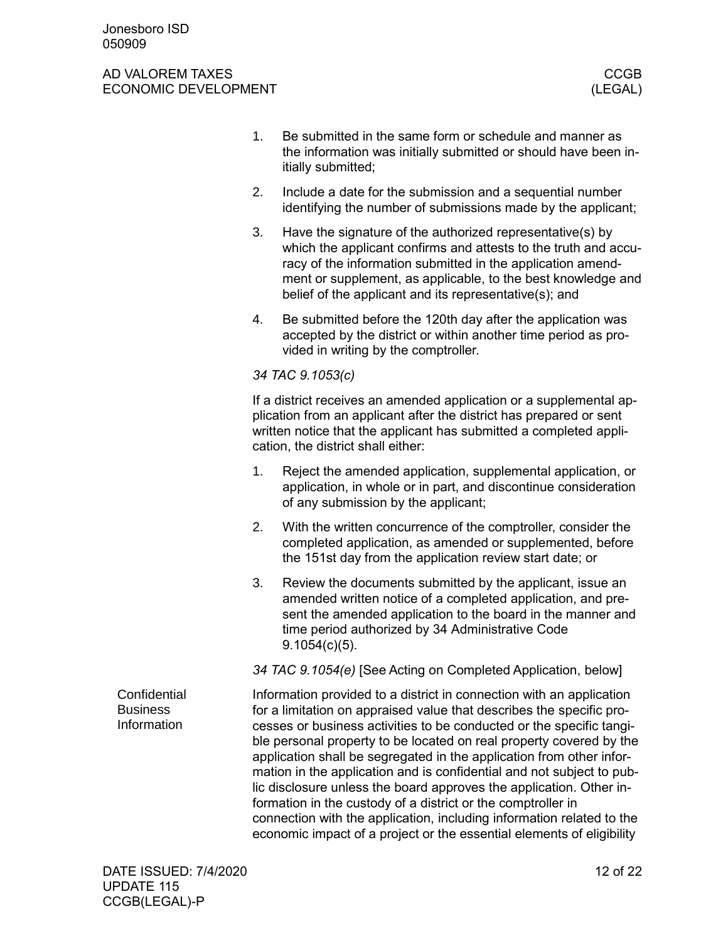<span id="page-11-0"></span>

|                                                | 1. | Be submitted in the same form or schedule and manner as<br>the information was initially submitted or should have been in-<br>itially submitted;                                                                                                                                                                                                                                                                                                                                                                                                                                                                                                                                                                                      |
|------------------------------------------------|----|---------------------------------------------------------------------------------------------------------------------------------------------------------------------------------------------------------------------------------------------------------------------------------------------------------------------------------------------------------------------------------------------------------------------------------------------------------------------------------------------------------------------------------------------------------------------------------------------------------------------------------------------------------------------------------------------------------------------------------------|
|                                                | 2. | Include a date for the submission and a sequential number<br>identifying the number of submissions made by the applicant;                                                                                                                                                                                                                                                                                                                                                                                                                                                                                                                                                                                                             |
|                                                | 3. | Have the signature of the authorized representative(s) by<br>which the applicant confirms and attests to the truth and accu-<br>racy of the information submitted in the application amend-<br>ment or supplement, as applicable, to the best knowledge and<br>belief of the applicant and its representative(s); and                                                                                                                                                                                                                                                                                                                                                                                                                 |
|                                                | 4. | Be submitted before the 120th day after the application was<br>accepted by the district or within another time period as pro-<br>vided in writing by the comptroller.                                                                                                                                                                                                                                                                                                                                                                                                                                                                                                                                                                 |
|                                                |    | 34 TAC 9.1053(c)                                                                                                                                                                                                                                                                                                                                                                                                                                                                                                                                                                                                                                                                                                                      |
|                                                |    | If a district receives an amended application or a supplemental ap-<br>plication from an applicant after the district has prepared or sent<br>written notice that the applicant has submitted a completed appli-<br>cation, the district shall either:                                                                                                                                                                                                                                                                                                                                                                                                                                                                                |
|                                                | 1. | Reject the amended application, supplemental application, or<br>application, in whole or in part, and discontinue consideration<br>of any submission by the applicant;                                                                                                                                                                                                                                                                                                                                                                                                                                                                                                                                                                |
|                                                | 2. | With the written concurrence of the comptroller, consider the<br>completed application, as amended or supplemented, before<br>the 151st day from the application review start date; or                                                                                                                                                                                                                                                                                                                                                                                                                                                                                                                                                |
|                                                | 3. | Review the documents submitted by the applicant, issue an<br>amended written notice of a completed application, and pre-<br>sent the amended application to the board in the manner and<br>time period authorized by 34 Administrative Code<br>$9.1054(c)(5)$ .                                                                                                                                                                                                                                                                                                                                                                                                                                                                       |
|                                                |    | 34 TAC 9.1054(e) [See Acting on Completed Application, below]                                                                                                                                                                                                                                                                                                                                                                                                                                                                                                                                                                                                                                                                         |
| Confidential<br><b>Business</b><br>Information |    | Information provided to a district in connection with an application<br>for a limitation on appraised value that describes the specific pro-<br>cesses or business activities to be conducted or the specific tangi-<br>ble personal property to be located on real property covered by the<br>application shall be segregated in the application from other infor-<br>mation in the application and is confidential and not subject to pub-<br>lic disclosure unless the board approves the application. Other in-<br>formation in the custody of a district or the comptroller in<br>connection with the application, including information related to the<br>economic impact of a project or the essential elements of eligibility |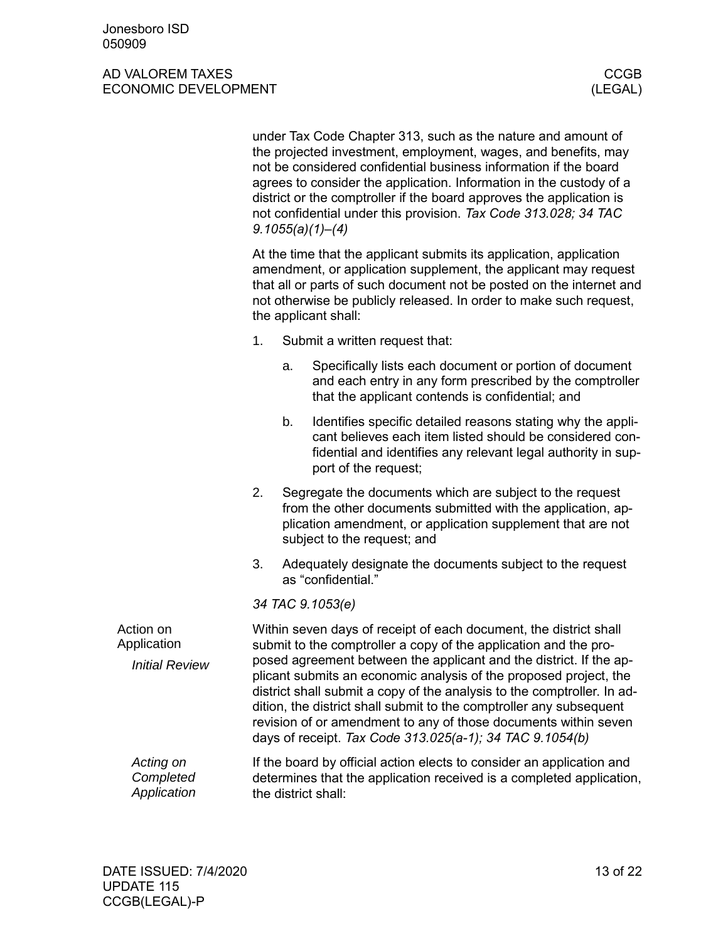<span id="page-12-0"></span>

|                                       | under Tax Code Chapter 313, such as the nature and amount of<br>the projected investment, employment, wages, and benefits, may<br>not be considered confidential business information if the board<br>agrees to consider the application. Information in the custody of a<br>district or the comptroller if the board approves the application is<br>not confidential under this provision. Tax Code 313.028; 34 TAC<br>9.1055(a)(1)–(4) |    |                                                                                                                                                                                                                                                                                                                                                                                                                          |  |  |
|---------------------------------------|------------------------------------------------------------------------------------------------------------------------------------------------------------------------------------------------------------------------------------------------------------------------------------------------------------------------------------------------------------------------------------------------------------------------------------------|----|--------------------------------------------------------------------------------------------------------------------------------------------------------------------------------------------------------------------------------------------------------------------------------------------------------------------------------------------------------------------------------------------------------------------------|--|--|
|                                       | At the time that the applicant submits its application, application<br>amendment, or application supplement, the applicant may request<br>that all or parts of such document not be posted on the internet and<br>not otherwise be publicly released. In order to make such request,<br>the applicant shall:                                                                                                                             |    |                                                                                                                                                                                                                                                                                                                                                                                                                          |  |  |
|                                       | 1.                                                                                                                                                                                                                                                                                                                                                                                                                                       |    | Submit a written request that:                                                                                                                                                                                                                                                                                                                                                                                           |  |  |
|                                       |                                                                                                                                                                                                                                                                                                                                                                                                                                          | a. | Specifically lists each document or portion of document<br>and each entry in any form prescribed by the comptroller<br>that the applicant contends is confidential; and                                                                                                                                                                                                                                                  |  |  |
|                                       |                                                                                                                                                                                                                                                                                                                                                                                                                                          | b. | Identifies specific detailed reasons stating why the appli-<br>cant believes each item listed should be considered con-<br>fidential and identifies any relevant legal authority in sup-<br>port of the request;                                                                                                                                                                                                         |  |  |
|                                       | 2.                                                                                                                                                                                                                                                                                                                                                                                                                                       |    | Segregate the documents which are subject to the request<br>from the other documents submitted with the application, ap-<br>plication amendment, or application supplement that are not<br>subject to the request; and                                                                                                                                                                                                   |  |  |
|                                       | 3.                                                                                                                                                                                                                                                                                                                                                                                                                                       |    | Adequately designate the documents subject to the request<br>as "confidential."                                                                                                                                                                                                                                                                                                                                          |  |  |
|                                       |                                                                                                                                                                                                                                                                                                                                                                                                                                          |    | 34 TAC 9.1053(e)                                                                                                                                                                                                                                                                                                                                                                                                         |  |  |
| Action on<br>Application              |                                                                                                                                                                                                                                                                                                                                                                                                                                          |    | Within seven days of receipt of each document, the district shall<br>submit to the comptroller a copy of the application and the pro-                                                                                                                                                                                                                                                                                    |  |  |
| <b>Initial Review</b>                 |                                                                                                                                                                                                                                                                                                                                                                                                                                          |    | posed agreement between the applicant and the district. If the ap-<br>plicant submits an economic analysis of the proposed project, the<br>district shall submit a copy of the analysis to the comptroller. In ad-<br>dition, the district shall submit to the comptroller any subsequent<br>revision of or amendment to any of those documents within seven<br>days of receipt. Tax Code 313.025(a-1); 34 TAC 9.1054(b) |  |  |
| Acting on<br>Completed<br>Application |                                                                                                                                                                                                                                                                                                                                                                                                                                          |    | If the board by official action elects to consider an application and<br>determines that the application received is a completed application,<br>the district shall:                                                                                                                                                                                                                                                     |  |  |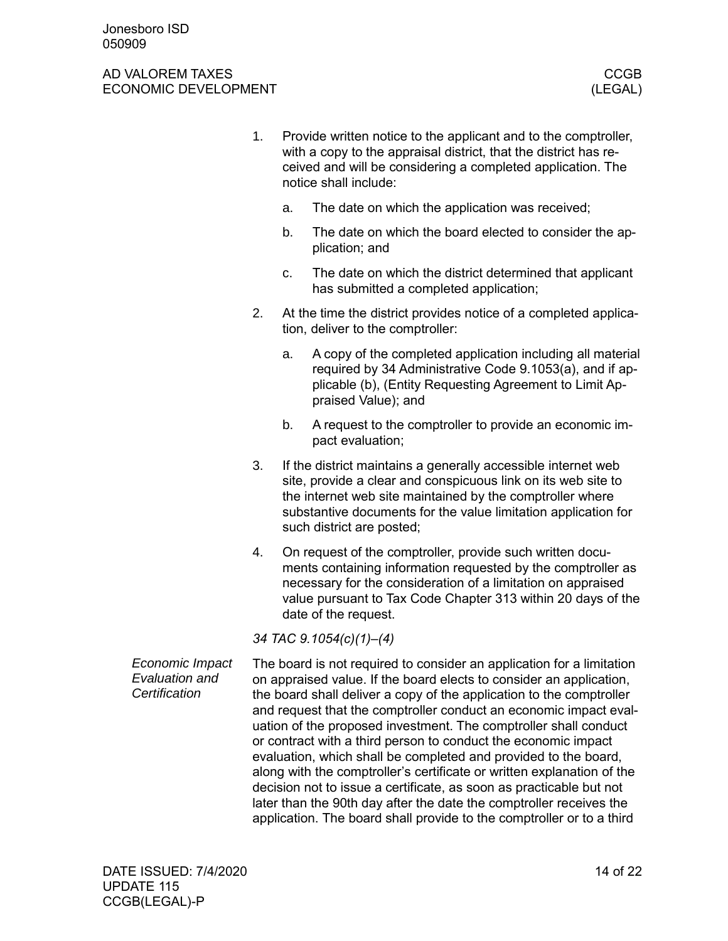- 1. Provide written notice to the applicant and to the comptroller, with a copy to the appraisal district, that the district has received and will be considering a completed application. The notice shall include:
	- a. The date on which the application was received;
	- b. The date on which the board elected to consider the application; and
	- c. The date on which the district determined that applicant has submitted a completed application;
- 2. At the time the district provides notice of a completed application, deliver to the comptroller:
	- a. A copy of the completed application including all material required by 34 Administrative Code 9.1053(a), and if applicable (b), (Entity Requesting Agreement to Limit Appraised Value); and
	- b. A request to the comptroller to provide an economic impact evaluation;
- 3. If the district maintains a generally accessible internet web site, provide a clear and conspicuous link on its web site to the internet web site maintained by the comptroller where substantive documents for the value limitation application for such district are posted;
- 4. On request of the comptroller, provide such written documents containing information requested by the comptroller as necessary for the consideration of a limitation on appraised value pursuant to Tax Code Chapter 313 within 20 days of the date of the request.

*34 TAC 9.1054(c)(1)–(4)*

The board is not required to consider an application for a limitation on appraised value. If the board elects to consider an application, the board shall deliver a copy of the application to the comptroller and request that the comptroller conduct an economic impact evaluation of the proposed investment. The comptroller shall conduct or contract with a third person to conduct the economic impact evaluation, which shall be completed and provided to the board, along with the comptroller's certificate or written explanation of the decision not to issue a certificate, as soon as practicable but not later than the 90th day after the date the comptroller receives the application. The board shall provide to the comptroller or to a third *Economic Impact Evaluation and Certification*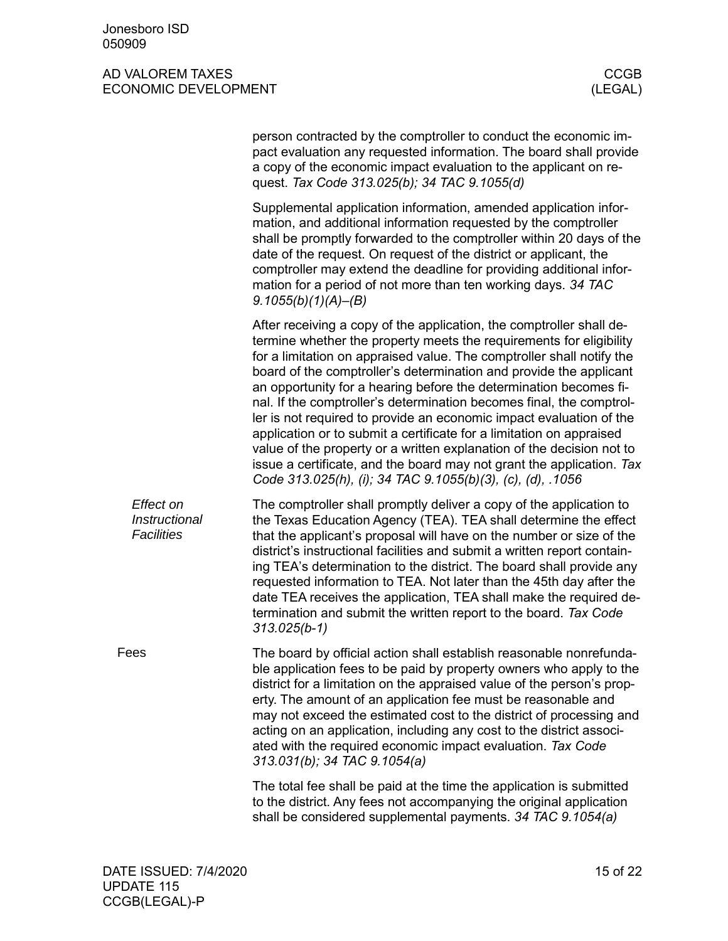<span id="page-14-0"></span>

|                                                 | person contracted by the comptroller to conduct the economic im-<br>pact evaluation any requested information. The board shall provide<br>a copy of the economic impact evaluation to the applicant on re-<br>quest. Tax Code 313.025(b); 34 TAC 9.1055(d)                                                                                                                                                                                                                                                                                                                                                                                                                                                                                                                                             |
|-------------------------------------------------|--------------------------------------------------------------------------------------------------------------------------------------------------------------------------------------------------------------------------------------------------------------------------------------------------------------------------------------------------------------------------------------------------------------------------------------------------------------------------------------------------------------------------------------------------------------------------------------------------------------------------------------------------------------------------------------------------------------------------------------------------------------------------------------------------------|
|                                                 | Supplemental application information, amended application infor-<br>mation, and additional information requested by the comptroller<br>shall be promptly forwarded to the comptroller within 20 days of the<br>date of the request. On request of the district or applicant, the<br>comptroller may extend the deadline for providing additional infor-<br>mation for a period of not more than ten working days. 34 TAC<br>9.1055(b)(1)(A)–(B)                                                                                                                                                                                                                                                                                                                                                        |
|                                                 | After receiving a copy of the application, the comptroller shall de-<br>termine whether the property meets the requirements for eligibility<br>for a limitation on appraised value. The comptroller shall notify the<br>board of the comptroller's determination and provide the applicant<br>an opportunity for a hearing before the determination becomes fi-<br>nal. If the comptroller's determination becomes final, the comptrol-<br>ler is not required to provide an economic impact evaluation of the<br>application or to submit a certificate for a limitation on appraised<br>value of the property or a written explanation of the decision not to<br>issue a certificate, and the board may not grant the application. Tax<br>Code 313.025(h), (i); 34 TAC 9.1055(b)(3), (c), (d), .1056 |
| Effect on<br>Instructional<br><b>Facilities</b> | The comptroller shall promptly deliver a copy of the application to<br>the Texas Education Agency (TEA). TEA shall determine the effect<br>that the applicant's proposal will have on the number or size of the<br>district's instructional facilities and submit a written report contain-<br>ing TEA's determination to the district. The board shall provide any<br>requested information to TEA. Not later than the 45th day after the<br>date TEA receives the application, TEA shall make the required de-<br>termination and submit the written report to the board. Tax Code<br>$313.025(b-1)$                                                                                                                                                                                                 |
| Fees                                            | The board by official action shall establish reasonable nonrefunda-<br>ble application fees to be paid by property owners who apply to the<br>district for a limitation on the appraised value of the person's prop-<br>erty. The amount of an application fee must be reasonable and<br>may not exceed the estimated cost to the district of processing and<br>acting on an application, including any cost to the district associ-<br>ated with the required economic impact evaluation. Tax Code<br>313.031(b); 34 TAC 9.1054(a)                                                                                                                                                                                                                                                                    |
|                                                 | The total fee shall be paid at the time the application is submitted<br>to the district. Any fees not accompanying the original application<br>shall be considered supplemental payments. 34 TAC 9.1054(a)                                                                                                                                                                                                                                                                                                                                                                                                                                                                                                                                                                                             |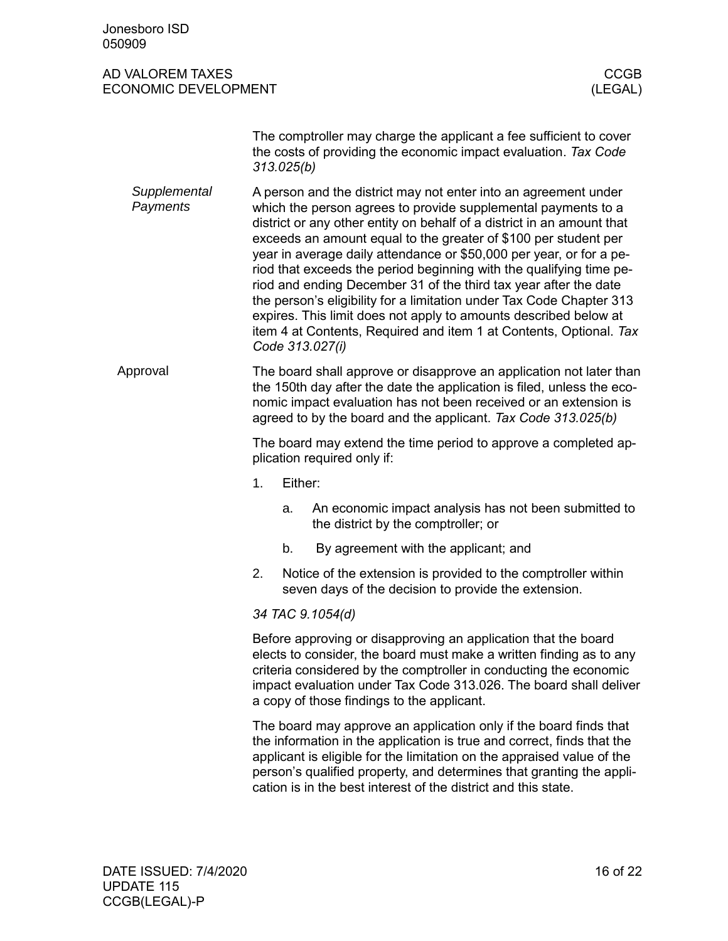<span id="page-15-0"></span>

| Jonesboro ISD<br>050909                         |                                                                                                                                                                                                                                                                                                                                                                                                                                                                                                                                                                                                                                                                                                                                      |            |                                                                                                                                                                                                                                                                                                                                                                 |                        |  |
|-------------------------------------------------|--------------------------------------------------------------------------------------------------------------------------------------------------------------------------------------------------------------------------------------------------------------------------------------------------------------------------------------------------------------------------------------------------------------------------------------------------------------------------------------------------------------------------------------------------------------------------------------------------------------------------------------------------------------------------------------------------------------------------------------|------------|-----------------------------------------------------------------------------------------------------------------------------------------------------------------------------------------------------------------------------------------------------------------------------------------------------------------------------------------------------------------|------------------------|--|
| AD VALOREM TAXES<br><b>ECONOMIC DEVELOPMENT</b> |                                                                                                                                                                                                                                                                                                                                                                                                                                                                                                                                                                                                                                                                                                                                      |            |                                                                                                                                                                                                                                                                                                                                                                 | <b>CCGB</b><br>(LEGAL) |  |
|                                                 |                                                                                                                                                                                                                                                                                                                                                                                                                                                                                                                                                                                                                                                                                                                                      | 313.025(b) | The comptroller may charge the applicant a fee sufficient to cover<br>the costs of providing the economic impact evaluation. Tax Code                                                                                                                                                                                                                           |                        |  |
| Supplemental<br>Payments                        | A person and the district may not enter into an agreement under<br>which the person agrees to provide supplemental payments to a<br>district or any other entity on behalf of a district in an amount that<br>exceeds an amount equal to the greater of \$100 per student per<br>year in average daily attendance or \$50,000 per year, or for a pe-<br>riod that exceeds the period beginning with the qualifying time pe-<br>riod and ending December 31 of the third tax year after the date<br>the person's eligibility for a limitation under Tax Code Chapter 313<br>expires. This limit does not apply to amounts described below at<br>item 4 at Contents, Required and item 1 at Contents, Optional. Tax<br>Code 313.027(i) |            |                                                                                                                                                                                                                                                                                                                                                                 |                        |  |
| Approval                                        | The board shall approve or disapprove an application not later than<br>the 150th day after the date the application is filed, unless the eco-<br>nomic impact evaluation has not been received or an extension is<br>agreed to by the board and the applicant. Tax Code 313.025(b)                                                                                                                                                                                                                                                                                                                                                                                                                                                   |            |                                                                                                                                                                                                                                                                                                                                                                 |                        |  |
|                                                 | The board may extend the time period to approve a completed ap-<br>plication required only if:                                                                                                                                                                                                                                                                                                                                                                                                                                                                                                                                                                                                                                       |            |                                                                                                                                                                                                                                                                                                                                                                 |                        |  |
|                                                 | 1.                                                                                                                                                                                                                                                                                                                                                                                                                                                                                                                                                                                                                                                                                                                                   | Either:    |                                                                                                                                                                                                                                                                                                                                                                 |                        |  |
|                                                 |                                                                                                                                                                                                                                                                                                                                                                                                                                                                                                                                                                                                                                                                                                                                      | a.         | An economic impact analysis has not been submitted to<br>the district by the comptroller; or                                                                                                                                                                                                                                                                    |                        |  |
|                                                 |                                                                                                                                                                                                                                                                                                                                                                                                                                                                                                                                                                                                                                                                                                                                      | b.         | By agreement with the applicant; and                                                                                                                                                                                                                                                                                                                            |                        |  |
|                                                 | 2.                                                                                                                                                                                                                                                                                                                                                                                                                                                                                                                                                                                                                                                                                                                                   |            | Notice of the extension is provided to the comptroller within<br>seven days of the decision to provide the extension.                                                                                                                                                                                                                                           |                        |  |
|                                                 | 34 TAC 9.1054(d)                                                                                                                                                                                                                                                                                                                                                                                                                                                                                                                                                                                                                                                                                                                     |            |                                                                                                                                                                                                                                                                                                                                                                 |                        |  |
|                                                 | Before approving or disapproving an application that the board<br>elects to consider, the board must make a written finding as to any<br>criteria considered by the comptroller in conducting the economic<br>impact evaluation under Tax Code 313.026. The board shall deliver<br>a copy of those findings to the applicant.                                                                                                                                                                                                                                                                                                                                                                                                        |            |                                                                                                                                                                                                                                                                                                                                                                 |                        |  |
|                                                 |                                                                                                                                                                                                                                                                                                                                                                                                                                                                                                                                                                                                                                                                                                                                      |            | The board may approve an application only if the board finds that<br>the information in the application is true and correct, finds that the<br>applicant is eligible for the limitation on the appraised value of the<br>person's qualified property, and determines that granting the appli-<br>cation is in the best interest of the district and this state. |                        |  |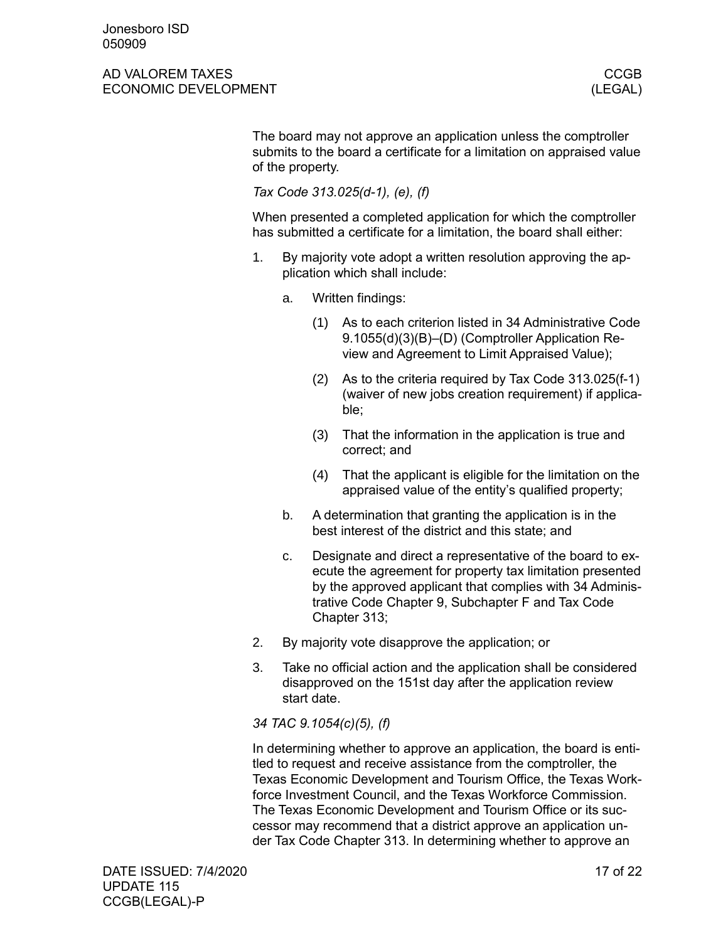The board may not approve an application unless the comptroller submits to the board a certificate for a limitation on appraised value of the property.

*Tax Code 313.025(d-1), (e), (f)*

When presented a completed application for which the comptroller has submitted a certificate for a limitation, the board shall either:

- 1. By majority vote adopt a written resolution approving the application which shall include:
	- a. Written findings:
		- (1) As to each criterion listed in 34 Administrative Code 9.1055(d)(3)(B)–(D) (Comptroller Application Review and Agreement to Limit Appraised Value);
		- (2) As to the criteria required by Tax Code 313.025(f-1) (waiver of new jobs creation requirement) if applicable;
		- (3) That the information in the application is true and correct; and
		- (4) That the applicant is eligible for the limitation on the appraised value of the entity's qualified property;
	- b. A determination that granting the application is in the best interest of the district and this state; and
	- c. Designate and direct a representative of the board to execute the agreement for property tax limitation presented by the approved applicant that complies with 34 Administrative Code Chapter 9, Subchapter F and Tax Code Chapter 313;
- 2. By majority vote disapprove the application; or
- 3. Take no official action and the application shall be considered disapproved on the 151st day after the application review start date.

*34 TAC 9.1054(c)(5), (f)*

In determining whether to approve an application, the board is entitled to request and receive assistance from the comptroller, the Texas Economic Development and Tourism Office, the Texas Workforce Investment Council, and the Texas Workforce Commission. The Texas Economic Development and Tourism Office or its successor may recommend that a district approve an application under Tax Code Chapter 313. In determining whether to approve an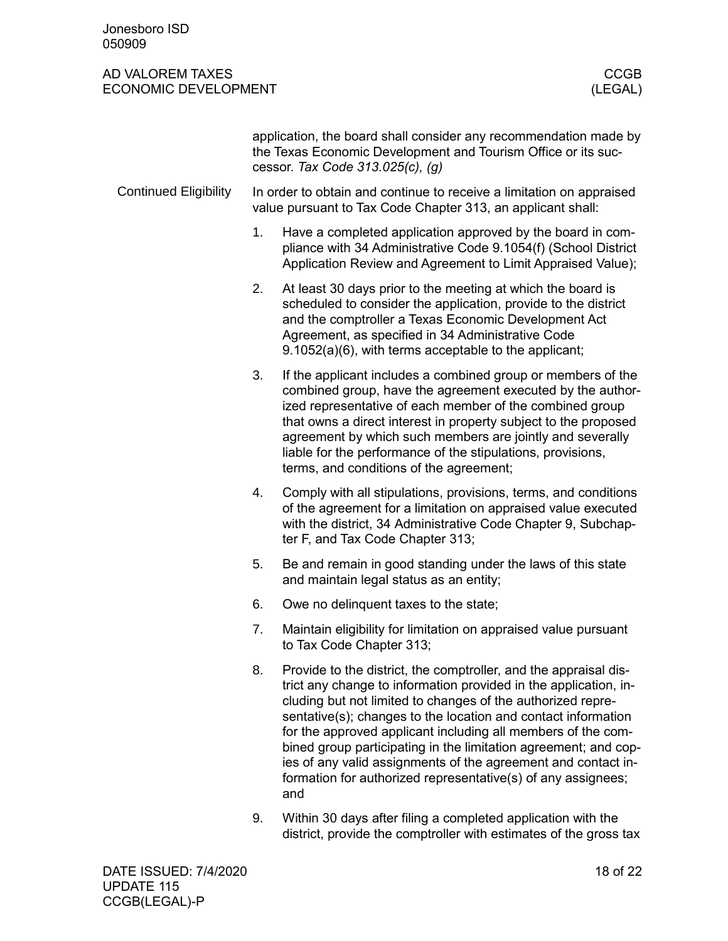<span id="page-17-0"></span>

|                              |    | application, the board shall consider any recommendation made by<br>the Texas Economic Development and Tourism Office or its suc-<br>cessor. Tax Code 313.025(c), (g)                                                                                                                                                                                                                                                                                                                                                                    |  |  |  |  |
|------------------------------|----|------------------------------------------------------------------------------------------------------------------------------------------------------------------------------------------------------------------------------------------------------------------------------------------------------------------------------------------------------------------------------------------------------------------------------------------------------------------------------------------------------------------------------------------|--|--|--|--|
| <b>Continued Eligibility</b> |    | In order to obtain and continue to receive a limitation on appraised<br>value pursuant to Tax Code Chapter 313, an applicant shall:                                                                                                                                                                                                                                                                                                                                                                                                      |  |  |  |  |
|                              | 1. | Have a completed application approved by the board in com-<br>pliance with 34 Administrative Code 9.1054(f) (School District<br>Application Review and Agreement to Limit Appraised Value);                                                                                                                                                                                                                                                                                                                                              |  |  |  |  |
|                              | 2. | At least 30 days prior to the meeting at which the board is<br>scheduled to consider the application, provide to the district<br>and the comptroller a Texas Economic Development Act<br>Agreement, as specified in 34 Administrative Code<br>9.1052(a)(6), with terms acceptable to the applicant;                                                                                                                                                                                                                                      |  |  |  |  |
|                              | 3. | If the applicant includes a combined group or members of the<br>combined group, have the agreement executed by the author-<br>ized representative of each member of the combined group<br>that owns a direct interest in property subject to the proposed<br>agreement by which such members are jointly and severally<br>liable for the performance of the stipulations, provisions,<br>terms, and conditions of the agreement;                                                                                                         |  |  |  |  |
|                              | 4. | Comply with all stipulations, provisions, terms, and conditions<br>of the agreement for a limitation on appraised value executed<br>with the district, 34 Administrative Code Chapter 9, Subchap-<br>ter F, and Tax Code Chapter 313;                                                                                                                                                                                                                                                                                                    |  |  |  |  |
|                              | 5. | Be and remain in good standing under the laws of this state<br>and maintain legal status as an entity;                                                                                                                                                                                                                                                                                                                                                                                                                                   |  |  |  |  |
|                              | 6. | Owe no delinguent taxes to the state;                                                                                                                                                                                                                                                                                                                                                                                                                                                                                                    |  |  |  |  |
|                              | 7. | Maintain eligibility for limitation on appraised value pursuant<br>to Tax Code Chapter 313;                                                                                                                                                                                                                                                                                                                                                                                                                                              |  |  |  |  |
|                              | 8. | Provide to the district, the comptroller, and the appraisal dis-<br>trict any change to information provided in the application, in-<br>cluding but not limited to changes of the authorized repre-<br>sentative(s); changes to the location and contact information<br>for the approved applicant including all members of the com-<br>bined group participating in the limitation agreement; and cop-<br>ies of any valid assignments of the agreement and contact in-<br>formation for authorized representative(s) of any assignees; |  |  |  |  |

9. Within 30 days after filing a completed application with the district, provide the comptroller with estimates of the gross tax

and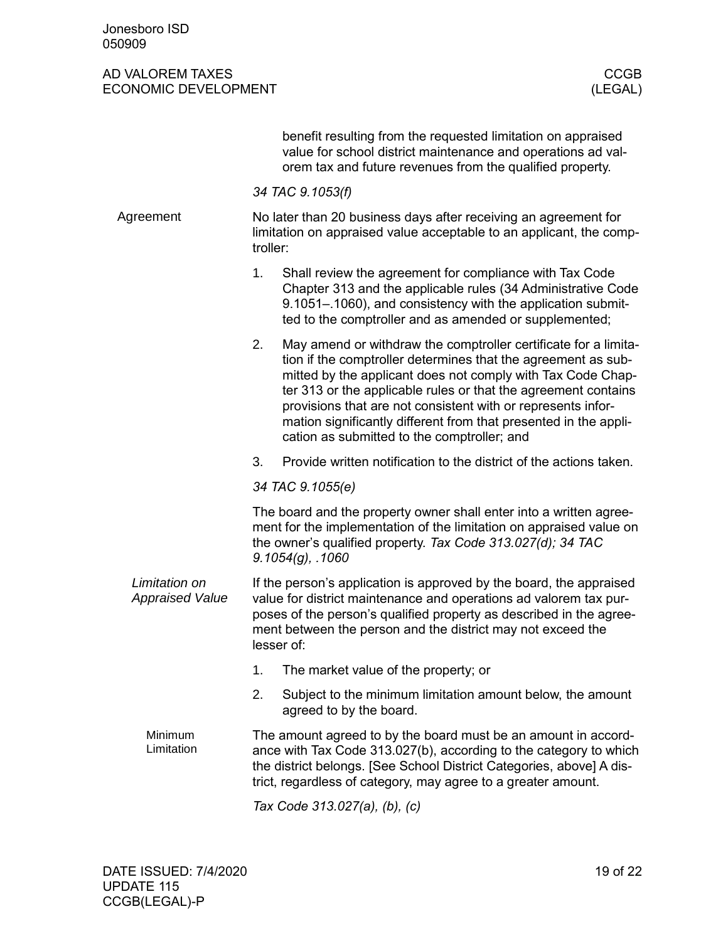<span id="page-18-0"></span>

|                                         | benefit resulting from the requested limitation on appraised<br>value for school district maintenance and operations ad val-<br>orem tax and future revenues from the qualified property.                                                                                                                                                                                                                                                                  |  |  |  |  |
|-----------------------------------------|------------------------------------------------------------------------------------------------------------------------------------------------------------------------------------------------------------------------------------------------------------------------------------------------------------------------------------------------------------------------------------------------------------------------------------------------------------|--|--|--|--|
|                                         | 34 TAC 9.1053(f)                                                                                                                                                                                                                                                                                                                                                                                                                                           |  |  |  |  |
| Agreement                               | No later than 20 business days after receiving an agreement for<br>limitation on appraised value acceptable to an applicant, the comp-<br>troller:                                                                                                                                                                                                                                                                                                         |  |  |  |  |
|                                         | 1.<br>Shall review the agreement for compliance with Tax Code<br>Chapter 313 and the applicable rules (34 Administrative Code<br>9.1051–.1060), and consistency with the application submit-<br>ted to the comptroller and as amended or supplemented;                                                                                                                                                                                                     |  |  |  |  |
|                                         | May amend or withdraw the comptroller certificate for a limita-<br>2.<br>tion if the comptroller determines that the agreement as sub-<br>mitted by the applicant does not comply with Tax Code Chap-<br>ter 313 or the applicable rules or that the agreement contains<br>provisions that are not consistent with or represents infor-<br>mation significantly different from that presented in the appli-<br>cation as submitted to the comptroller; and |  |  |  |  |
|                                         | 3.<br>Provide written notification to the district of the actions taken.                                                                                                                                                                                                                                                                                                                                                                                   |  |  |  |  |
|                                         | 34 TAC 9.1055(e)                                                                                                                                                                                                                                                                                                                                                                                                                                           |  |  |  |  |
|                                         | The board and the property owner shall enter into a written agree-<br>ment for the implementation of the limitation on appraised value on<br>the owner's qualified property. Tax Code 313.027(d); 34 TAC<br>$9.1054(g)$ , .1060                                                                                                                                                                                                                            |  |  |  |  |
| Limitation on<br><b>Appraised Value</b> | If the person's application is approved by the board, the appraised<br>value for district maintenance and operations ad valorem tax pur-<br>poses of the person's qualified property as described in the agree-<br>ment between the person and the district may not exceed the<br>lesser of:                                                                                                                                                               |  |  |  |  |
|                                         | The market value of the property; or<br>1.                                                                                                                                                                                                                                                                                                                                                                                                                 |  |  |  |  |
|                                         | Subject to the minimum limitation amount below, the amount<br>2.<br>agreed to by the board.                                                                                                                                                                                                                                                                                                                                                                |  |  |  |  |
| Minimum<br>Limitation                   | The amount agreed to by the board must be an amount in accord-<br>ance with Tax Code 313.027(b), according to the category to which<br>the district belongs. [See School District Categories, above] A dis-<br>trict, regardless of category, may agree to a greater amount.                                                                                                                                                                               |  |  |  |  |
|                                         | Tax Code 313.027(a), (b), (c)                                                                                                                                                                                                                                                                                                                                                                                                                              |  |  |  |  |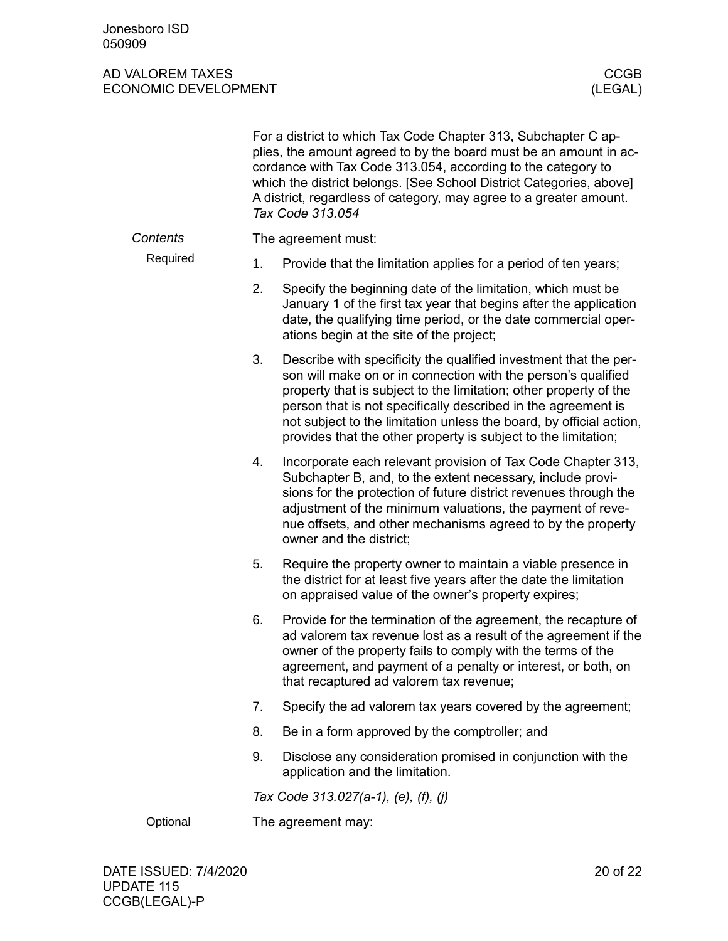|          |                    | For a district to which Tax Code Chapter 313, Subchapter C ap-<br>plies, the amount agreed to by the board must be an amount in ac-<br>cordance with Tax Code 313.054, according to the category to<br>which the district belongs. [See School District Categories, above]<br>A district, regardless of category, may agree to a greater amount.<br>Tax Code 313.054                                             |  |  |  |
|----------|--------------------|------------------------------------------------------------------------------------------------------------------------------------------------------------------------------------------------------------------------------------------------------------------------------------------------------------------------------------------------------------------------------------------------------------------|--|--|--|
| Contents |                    | The agreement must:                                                                                                                                                                                                                                                                                                                                                                                              |  |  |  |
| Required | 1.                 | Provide that the limitation applies for a period of ten years;                                                                                                                                                                                                                                                                                                                                                   |  |  |  |
|          | 2.                 | Specify the beginning date of the limitation, which must be<br>January 1 of the first tax year that begins after the application<br>date, the qualifying time period, or the date commercial oper-<br>ations begin at the site of the project;                                                                                                                                                                   |  |  |  |
|          | 3.                 | Describe with specificity the qualified investment that the per-<br>son will make on or in connection with the person's qualified<br>property that is subject to the limitation; other property of the<br>person that is not specifically described in the agreement is<br>not subject to the limitation unless the board, by official action,<br>provides that the other property is subject to the limitation; |  |  |  |
|          | 4.                 | Incorporate each relevant provision of Tax Code Chapter 313,<br>Subchapter B, and, to the extent necessary, include provi-<br>sions for the protection of future district revenues through the<br>adjustment of the minimum valuations, the payment of reve-<br>nue offsets, and other mechanisms agreed to by the property<br>owner and the district;                                                           |  |  |  |
|          | 5.                 | Require the property owner to maintain a viable presence in<br>the district for at least five years after the date the limitation<br>on appraised value of the owner's property expires;                                                                                                                                                                                                                         |  |  |  |
|          | 6.                 | Provide for the termination of the agreement, the recapture of<br>ad valorem tax revenue lost as a result of the agreement if the<br>owner of the property fails to comply with the terms of the<br>agreement, and payment of a penalty or interest, or both, on<br>that recaptured ad valorem tax revenue;                                                                                                      |  |  |  |
|          | 7.                 | Specify the ad valorem tax years covered by the agreement;                                                                                                                                                                                                                                                                                                                                                       |  |  |  |
|          | 8.                 | Be in a form approved by the comptroller; and                                                                                                                                                                                                                                                                                                                                                                    |  |  |  |
|          | 9.                 | Disclose any consideration promised in conjunction with the<br>application and the limitation.                                                                                                                                                                                                                                                                                                                   |  |  |  |
|          |                    | Tax Code 313.027(a-1), (e), (f), (j)                                                                                                                                                                                                                                                                                                                                                                             |  |  |  |
| Optional | The agreement may: |                                                                                                                                                                                                                                                                                                                                                                                                                  |  |  |  |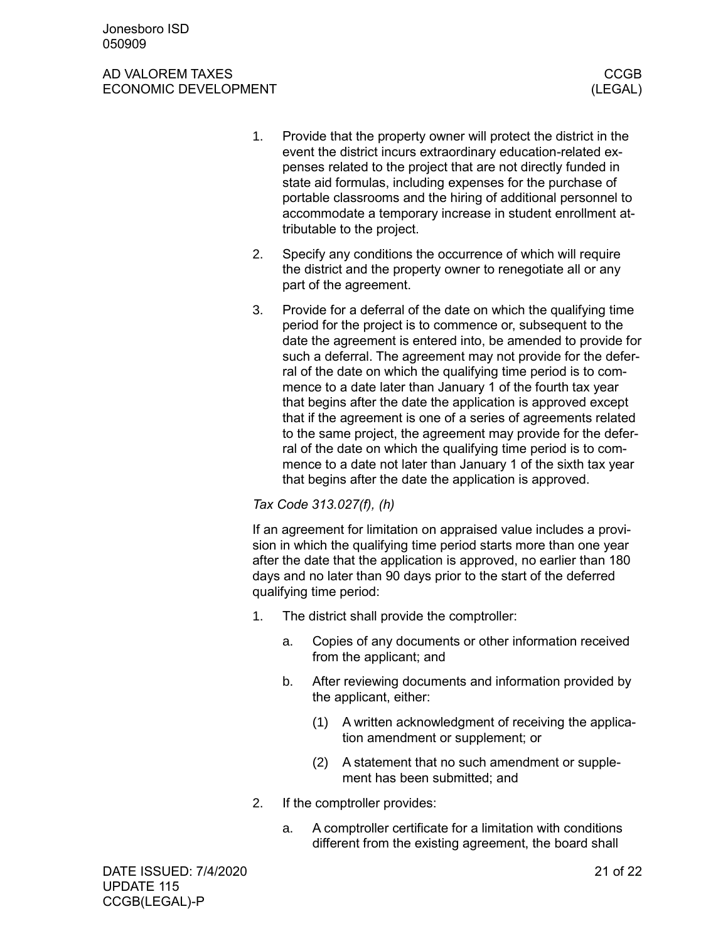- 1. Provide that the property owner will protect the district in the event the district incurs extraordinary education-related expenses related to the project that are not directly funded in state aid formulas, including expenses for the purchase of portable classrooms and the hiring of additional personnel to accommodate a temporary increase in student enrollment attributable to the project.
- 2. Specify any conditions the occurrence of which will require the district and the property owner to renegotiate all or any part of the agreement.
- 3. Provide for a deferral of the date on which the qualifying time period for the project is to commence or, subsequent to the date the agreement is entered into, be amended to provide for such a deferral. The agreement may not provide for the deferral of the date on which the qualifying time period is to commence to a date later than January 1 of the fourth tax year that begins after the date the application is approved except that if the agreement is one of a series of agreements related to the same project, the agreement may provide for the deferral of the date on which the qualifying time period is to commence to a date not later than January 1 of the sixth tax year that begins after the date the application is approved.

### *Tax Code 313.027(f), (h)*

If an agreement for limitation on appraised value includes a provision in which the qualifying time period starts more than one year after the date that the application is approved, no earlier than 180 days and no later than 90 days prior to the start of the deferred qualifying time period:

- 1. The district shall provide the comptroller:
	- a. Copies of any documents or other information received from the applicant; and
	- b. After reviewing documents and information provided by the applicant, either:
		- (1) A written acknowledgment of receiving the application amendment or supplement; or
		- (2) A statement that no such amendment or supplement has been submitted; and
- 2. If the comptroller provides:
	- a. A comptroller certificate for a limitation with conditions different from the existing agreement, the board shall